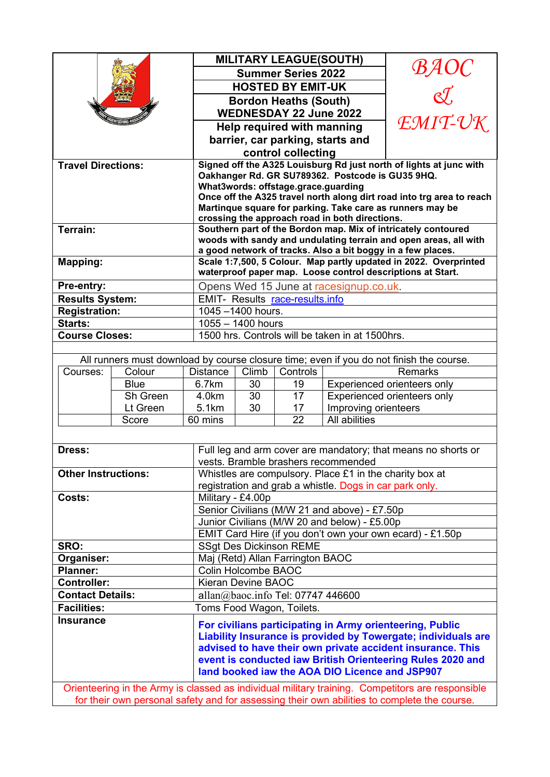|                                                                                                  |             |                                                                                                                 | <b>MILITARY LEAGUE(SOUTH)</b><br><b>Summer Series 2022</b>        |          |                                                | $\mathcal{B} A O C \ \lll$                                                              |  |
|--------------------------------------------------------------------------------------------------|-------------|-----------------------------------------------------------------------------------------------------------------|-------------------------------------------------------------------|----------|------------------------------------------------|-----------------------------------------------------------------------------------------|--|
|                                                                                                  |             |                                                                                                                 |                                                                   |          |                                                |                                                                                         |  |
|                                                                                                  |             | <b>HOSTED BY EMIT-UK</b>                                                                                        |                                                                   |          |                                                |                                                                                         |  |
|                                                                                                  |             |                                                                                                                 | <b>Bordon Heaths (South)</b>                                      |          |                                                |                                                                                         |  |
|                                                                                                  |             |                                                                                                                 | EMIT-UK<br><b>WEDNESDAY 22 June 2022</b>                          |          |                                                |                                                                                         |  |
|                                                                                                  |             | Help required with manning                                                                                      |                                                                   |          |                                                |                                                                                         |  |
|                                                                                                  |             | barrier, car parking, starts and                                                                                |                                                                   |          |                                                |                                                                                         |  |
|                                                                                                  |             | control collecting<br>Signed off the A325 Louisburg Rd just north of lights at junc with                        |                                                                   |          |                                                |                                                                                         |  |
| <b>Travel Directions:</b>                                                                        |             | Oakhanger Rd. GR SU789362. Postcode is GU35 9HQ.                                                                |                                                                   |          |                                                |                                                                                         |  |
|                                                                                                  |             | What3words: offstage.grace.guarding                                                                             |                                                                   |          |                                                |                                                                                         |  |
|                                                                                                  |             | Once off the A325 travel north along dirt road into trg area to reach                                           |                                                                   |          |                                                |                                                                                         |  |
|                                                                                                  |             | Martinque square for parking. Take care as runners may be                                                       |                                                                   |          |                                                |                                                                                         |  |
| Terrain:                                                                                         |             | crossing the approach road in both directions.<br>Southern part of the Bordon map. Mix of intricately contoured |                                                                   |          |                                                |                                                                                         |  |
|                                                                                                  |             |                                                                                                                 | woods with sandy and undulating terrain and open areas, all with  |          |                                                |                                                                                         |  |
|                                                                                                  |             |                                                                                                                 | a good network of tracks. Also a bit boggy in a few places.       |          |                                                |                                                                                         |  |
| <b>Mapping:</b>                                                                                  |             |                                                                                                                 | Scale 1:7,500, 5 Colour. Map partly updated in 2022. Overprinted  |          |                                                |                                                                                         |  |
|                                                                                                  |             |                                                                                                                 | waterproof paper map. Loose control descriptions at Start.        |          |                                                |                                                                                         |  |
| Pre-entry:                                                                                       |             |                                                                                                                 | Opens Wed 15 June at racesignup.co.uk.                            |          |                                                |                                                                                         |  |
| <b>Results System:</b>                                                                           |             | <b>EMIT- Results race-results.info</b>                                                                          |                                                                   |          |                                                |                                                                                         |  |
| <b>Registration:</b><br>Starts:                                                                  |             | 1045-1400 hours.<br>$1055 - 1400$ hours                                                                         |                                                                   |          |                                                |                                                                                         |  |
| <b>Course Closes:</b>                                                                            |             |                                                                                                                 | 1500 hrs. Controls will be taken in at 1500hrs.                   |          |                                                |                                                                                         |  |
|                                                                                                  |             |                                                                                                                 |                                                                   |          |                                                |                                                                                         |  |
|                                                                                                  |             |                                                                                                                 |                                                                   |          |                                                | All runners must download by course closure time; even if you do not finish the course. |  |
| Courses:<br>Colour                                                                               |             | <b>Distance</b>                                                                                                 | Climb                                                             | Controls |                                                | <b>Remarks</b>                                                                          |  |
|                                                                                                  | <b>Blue</b> | 6.7km                                                                                                           | 30                                                                | 19       |                                                | Experienced orienteers only                                                             |  |
|                                                                                                  | Sh Green    | 4.0km                                                                                                           | 30                                                                | 17       |                                                | Experienced orienteers only                                                             |  |
|                                                                                                  | Lt Green    | 5.1km                                                                                                           | 30                                                                | 17       | Improving orienteers                           |                                                                                         |  |
|                                                                                                  | Score       | 60 mins                                                                                                         |                                                                   | 22       | All abilities                                  |                                                                                         |  |
|                                                                                                  |             |                                                                                                                 |                                                                   |          |                                                |                                                                                         |  |
| Dress:                                                                                           |             |                                                                                                                 | Full leg and arm cover are mandatory; that means no shorts or     |          |                                                |                                                                                         |  |
|                                                                                                  |             |                                                                                                                 | vests. Bramble brashers recommended                               |          |                                                |                                                                                         |  |
| <b>Other Instructions:</b>                                                                       |             |                                                                                                                 | Whistles are compulsory. Place £1 in the charity box at           |          |                                                |                                                                                         |  |
|                                                                                                  |             |                                                                                                                 | registration and grab a whistle. Dogs in car park only.           |          |                                                |                                                                                         |  |
| Costs:                                                                                           |             |                                                                                                                 | Military - £4.00p<br>Senior Civilians (M/W 21 and above) - £7.50p |          |                                                |                                                                                         |  |
|                                                                                                  |             |                                                                                                                 | Junior Civilians (M/W 20 and below) - £5.00p                      |          |                                                |                                                                                         |  |
|                                                                                                  |             |                                                                                                                 | EMIT Card Hire (if you don't own your own ecard) - £1.50p         |          |                                                |                                                                                         |  |
| SRO:                                                                                             |             |                                                                                                                 | <b>SSgt Des Dickinson REME</b>                                    |          |                                                |                                                                                         |  |
| Organiser:                                                                                       |             |                                                                                                                 | Maj (Retd) Allan Farrington BAOC                                  |          |                                                |                                                                                         |  |
| <b>Planner:</b>                                                                                  |             |                                                                                                                 | Colin Holcombe BAOC                                               |          |                                                |                                                                                         |  |
| <b>Controller:</b>                                                                               |             |                                                                                                                 | <b>Kieran Devine BAOC</b>                                         |          |                                                |                                                                                         |  |
| <b>Contact Details:</b>                                                                          |             |                                                                                                                 | allan@baoc.info Tel: 07747 446600                                 |          |                                                |                                                                                         |  |
| <b>Facilities:</b>                                                                               |             | Toms Food Wagon, Toilets.                                                                                       |                                                                   |          |                                                |                                                                                         |  |
| <b>Insurance</b>                                                                                 |             | For civilians participating in Army orienteering, Public                                                        |                                                                   |          |                                                |                                                                                         |  |
|                                                                                                  |             |                                                                                                                 | Liability Insurance is provided by Towergate; individuals are     |          |                                                |                                                                                         |  |
|                                                                                                  |             |                                                                                                                 | advised to have their own private accident insurance. This        |          |                                                |                                                                                         |  |
|                                                                                                  |             |                                                                                                                 |                                                                   |          |                                                | event is conducted iaw British Orienteering Rules 2020 and                              |  |
|                                                                                                  |             |                                                                                                                 |                                                                   |          | land booked jaw the AOA DIO Licence and JSP907 |                                                                                         |  |
| Orienteering in the Army is classed as individual military training. Competitors are responsible |             |                                                                                                                 |                                                                   |          |                                                |                                                                                         |  |
| for their own personal safety and for assessing their own abilities to complete the course.      |             |                                                                                                                 |                                                                   |          |                                                |                                                                                         |  |